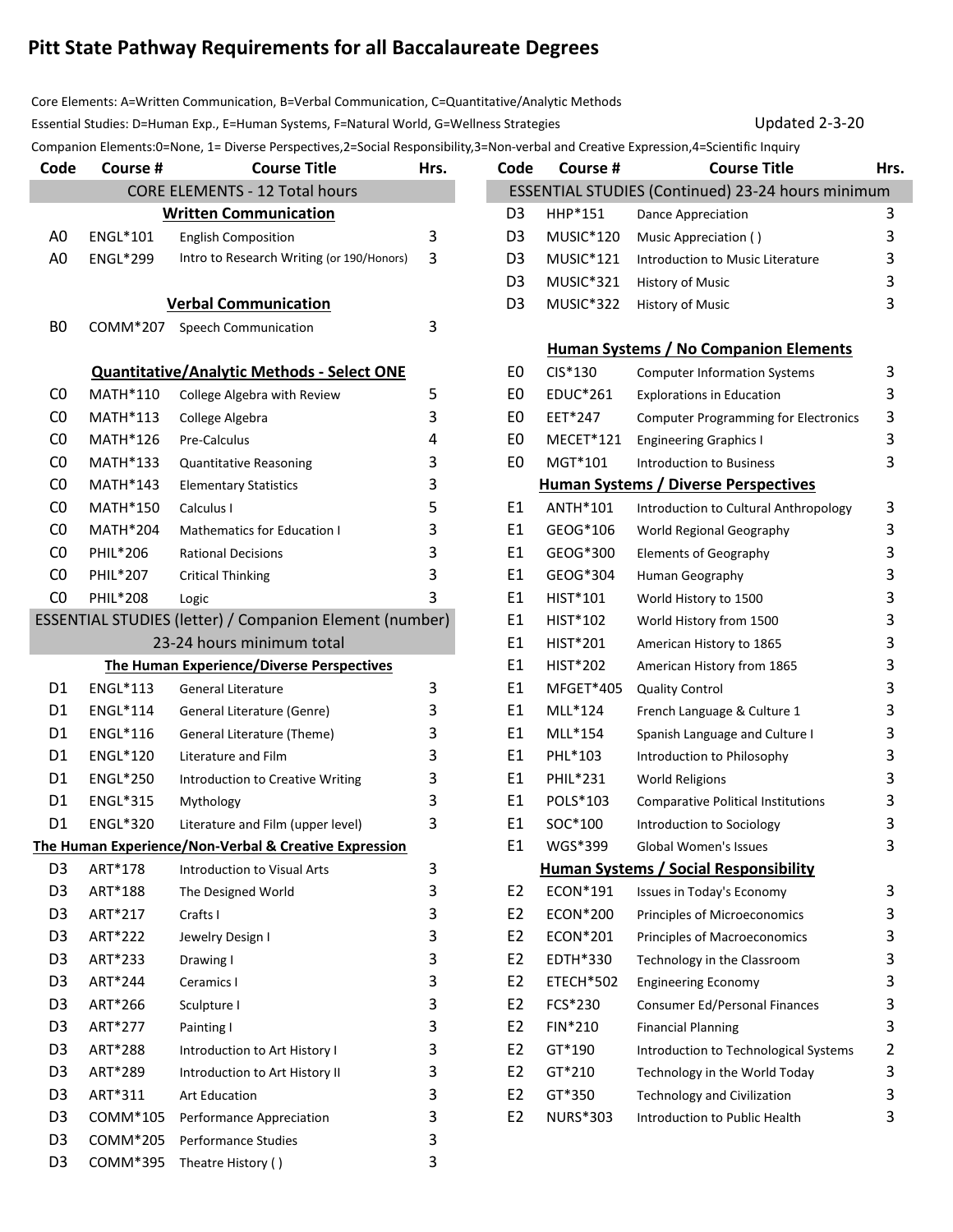## **Pitt State Pathway Requirements for all Baccalaureate Degrees**

Core Elements: A=Written Communication, B=Verbal Communication, C=Quantitative/Analytic Methods Essential Studies: D=Human Exp., E=Human Systems, F=Natural World, G=Wellness Strategies United Number 2-3-20

Companion Elements: 0=None, 1= Diverse Perspectives, 2=Social Responsibility, 3=Non-verbal and Creative Expression, 4=Scientific Inquiry

| Code                                  | Course #        | <b>Course Title</b>                                            | Hrs. |  | Code           | Course #                                          | <b>Course Title</b>                          | Hrs.           |  |
|---------------------------------------|-----------------|----------------------------------------------------------------|------|--|----------------|---------------------------------------------------|----------------------------------------------|----------------|--|
| <b>CORE ELEMENTS - 12 Total hours</b> |                 |                                                                |      |  |                | ESSENTIAL STUDIES (Continued) 23-24 hours minimum |                                              |                |  |
|                                       |                 | <b>Written Communication</b>                                   |      |  | D <sub>3</sub> | HHP*151                                           | Dance Appreciation                           | 3              |  |
| A <sub>0</sub>                        | ENGL*101        | <b>English Composition</b>                                     | 3    |  | D <sub>3</sub> | MUSIC*120                                         | Music Appreciation ()                        | 3              |  |
| A <sub>0</sub>                        | ENGL*299        | Intro to Research Writing (or 190/Honors)                      | 3    |  | D <sub>3</sub> | MUSIC*121                                         | Introduction to Music Literature             | 3              |  |
|                                       |                 |                                                                |      |  | D <sub>3</sub> | MUSIC*321                                         | History of Music                             | 3              |  |
|                                       |                 | <b>Verbal Communication</b>                                    |      |  | D <sub>3</sub> | MUSIC*322                                         | History of Music                             | 3              |  |
| B <sub>0</sub>                        | COMM*207        | Speech Communication                                           | 3    |  |                |                                                   |                                              |                |  |
|                                       |                 |                                                                |      |  |                |                                                   | <b>Human Systems / No Companion Elements</b> |                |  |
|                                       |                 | <b>Quantitative/Analytic Methods - Select ONE</b>              |      |  | E0             | CIS*130                                           | <b>Computer Information Systems</b>          | 3              |  |
| C <sub>0</sub>                        | MATH*110        | College Algebra with Review                                    | 5    |  | E0             | EDUC*261                                          | <b>Explorations in Education</b>             | 3              |  |
| CO                                    | MATH*113        | College Algebra                                                | 3    |  | E0             | EET*247                                           | <b>Computer Programming for Electronics</b>  | 3              |  |
| CO                                    | MATH*126        | Pre-Calculus                                                   | 4    |  | E0             | MECET*121                                         | <b>Engineering Graphics I</b>                | 3              |  |
| CO                                    | <b>MATH*133</b> | <b>Quantitative Reasoning</b>                                  | 3    |  | E0             | MGT*101                                           | Introduction to Business                     | 3              |  |
| CO                                    | <b>MATH*143</b> | <b>Elementary Statistics</b>                                   | з    |  |                |                                                   | <b>Human Systems / Diverse Perspectives</b>  |                |  |
| CO                                    | MATH*150        | Calculus I                                                     | 5    |  | E1             | ANTH*101                                          | Introduction to Cultural Anthropology        | 3              |  |
| CO                                    | <b>MATH*204</b> | <b>Mathematics for Education I</b>                             | 3    |  | E1             | GEOG*106                                          | World Regional Geography                     | 3              |  |
| CO                                    | PHIL*206        | <b>Rational Decisions</b>                                      | 3    |  | E1             | GEOG*300                                          | <b>Elements of Geography</b>                 | 3              |  |
| C <sub>0</sub>                        | PHIL*207        | <b>Critical Thinking</b>                                       | 3    |  | E <sub>1</sub> | GEOG*304                                          | Human Geography                              | 3              |  |
| CO                                    | PHIL*208        | Logic                                                          | 3    |  | E1             | HIST*101                                          | World History to 1500                        | 3              |  |
|                                       |                 | <b>ESSENTIAL STUDIES (letter) / Companion Element (number)</b> |      |  | E1             | HIST*102                                          | World History from 1500                      | 3              |  |
|                                       |                 | 23-24 hours minimum total                                      |      |  | E1             | HIST*201                                          | American History to 1865                     | 3              |  |
|                                       |                 | <b>The Human Experience/Diverse Perspectives</b>               |      |  | E1             | <b>HIST*202</b>                                   | American History from 1865                   | 3              |  |
| D1                                    | ENGL*113        | <b>General Literature</b>                                      | 3    |  | E1             | MFGET*405                                         | <b>Quality Control</b>                       | 3              |  |
| D1                                    | ENGL*114        | General Literature (Genre)                                     | 3    |  | E1             | MLL*124                                           | French Language & Culture 1                  | 3              |  |
| D1                                    | ENGL*116        | General Literature (Theme)                                     | 3    |  | E1             | MLL*154                                           | Spanish Language and Culture I               | 3              |  |
| D <sub>1</sub>                        | ENGL*120        | Literature and Film                                            | 3    |  | E1             | PHL*103                                           | Introduction to Philosophy                   | 3              |  |
| D1                                    | <b>ENGL*250</b> | Introduction to Creative Writing                               | 3    |  | E1             | PHIL*231                                          | <b>World Religions</b>                       | 3              |  |
| D1                                    | ENGL*315        | Mythology                                                      | 3    |  | E1             | POLS*103                                          | <b>Comparative Political Institutions</b>    | 3              |  |
| D <sub>1</sub>                        | ENGL*320        | Literature and Film (upper level)                              | 3    |  | E1             | SOC*100                                           | Introduction to Sociology                    | 3              |  |
|                                       |                 | The Human Experience/Non-Verbal & Creative Expression          |      |  | E1             | WGS*399                                           | Global Women's Issues                        | 3              |  |
| D <sub>3</sub>                        | ART*178         | <b>Introduction to Visual Arts</b>                             | 3    |  |                |                                                   | Human Systems / Social Responsibility        |                |  |
| D <sub>3</sub>                        | ART*188         | The Designed World                                             | 3    |  | E <sub>2</sub> | ECON*191                                          | Issues in Today's Economy                    | 3              |  |
| D <sub>3</sub>                        | ART*217         | Crafts I                                                       | 3    |  | E <sub>2</sub> | ECON*200                                          | Principles of Microeconomics                 | 3              |  |
| D <sub>3</sub>                        | ART*222         | Jewelry Design I                                               | 3    |  | E <sub>2</sub> | ECON*201                                          | Principles of Macroeconomics                 | 3              |  |
| D <sub>3</sub>                        | ART*233         | Drawing I                                                      | 3    |  | E <sub>2</sub> | EDTH*330                                          | Technology in the Classroom                  | 3              |  |
| D <sub>3</sub>                        | ART*244         | Ceramics I                                                     | 3    |  | E <sub>2</sub> | ETECH*502                                         | <b>Engineering Economy</b>                   | 3              |  |
| D <sub>3</sub>                        | ART*266         | Sculpture I                                                    | 3    |  | E <sub>2</sub> | FCS*230                                           | Consumer Ed/Personal Finances                | 3              |  |
| D <sub>3</sub>                        | ART*277         | Painting I                                                     | 3    |  | E <sub>2</sub> | FIN*210                                           | <b>Financial Planning</b>                    | 3              |  |
| D <sub>3</sub>                        | ART*288         | Introduction to Art History I                                  | 3    |  | E <sub>2</sub> | GT*190                                            | Introduction to Technological Systems        | $\overline{2}$ |  |
| D <sub>3</sub>                        | ART*289         | Introduction to Art History II                                 | 3    |  | E <sub>2</sub> | GT*210                                            | Technology in the World Today                | $\mathsf{3}$   |  |
| D <sub>3</sub>                        | ART*311         | Art Education                                                  | 3    |  | E <sub>2</sub> | GT*350                                            | <b>Technology and Civilization</b>           | 3              |  |
| D <sub>3</sub>                        | COMM*105        | Performance Appreciation                                       | 3    |  | E <sub>2</sub> | <b>NURS*303</b>                                   | Introduction to Public Health                | 3              |  |
| D <sub>3</sub>                        | COMM*205        | Performance Studies                                            | 3    |  |                |                                                   |                                              |                |  |
| D <sub>3</sub>                        | COMM*395        | Theatre History ()                                             | 3    |  |                |                                                   |                                              |                |  |

| oae            | Course #        | <b>Course litie</b>                                   | Hrs. | coae           | <b>Course</b> #                       | <b>Course Litie</b>                               | <b>Hrs</b> |  |  |  |
|----------------|-----------------|-------------------------------------------------------|------|----------------|---------------------------------------|---------------------------------------------------|------------|--|--|--|
|                |                 | <b>CORE ELEMENTS - 12 Total hours</b>                 |      |                |                                       | ESSENTIAL STUDIES (Continued) 23-24 hours minimum |            |  |  |  |
|                |                 | <b>Written Communication</b>                          |      | D <sub>3</sub> | HHP*151                               | Dance Appreciation                                | 3          |  |  |  |
| A0             | ENGL*101        | <b>English Composition</b>                            | 3    | D3             | MUSIC*120                             | Music Appreciation ()                             | 3          |  |  |  |
| A0             | ENGL*299        | Intro to Research Writing (or 190/Honors)             | 3    | D3             | <b>MUSIC*121</b>                      | Introduction to Music Literature                  | 3          |  |  |  |
|                |                 |                                                       |      | D <sub>3</sub> | MUSIC*321                             | History of Music                                  | 3          |  |  |  |
|                |                 | <b>Verbal Communication</b>                           |      | D <sub>3</sub> | MUSIC*322                             | <b>History of Music</b>                           | 3          |  |  |  |
| BO             |                 | COMM*207 Speech Communication                         | 3    |                |                                       |                                                   |            |  |  |  |
|                |                 |                                                       |      |                | Human Systems / No Companion Elements |                                                   |            |  |  |  |
|                |                 | <b>Quantitative/Analytic Methods - Select ONE</b>     |      | E <sub>0</sub> | CIS*130                               | <b>Computer Information Systems</b>               | 3          |  |  |  |
| C <sub>0</sub> | MATH*110        | College Algebra with Review                           | 5    | E <sub>0</sub> | EDUC*261                              | <b>Explorations in Education</b>                  | 3          |  |  |  |
| C <sub>0</sub> | MATH*113        | College Algebra                                       | 3    | E <sub>0</sub> | EET*247                               | <b>Computer Programming for Electronics</b>       | 3          |  |  |  |
| CO             | <b>MATH*126</b> | Pre-Calculus                                          | 4    | E <sub>0</sub> | MECET*121                             | <b>Engineering Graphics I</b>                     | 3          |  |  |  |
| CO             | <b>MATH*133</b> | Quantitative Reasoning                                | 3    | E <sub>0</sub> | MGT*101                               | <b>Introduction to Business</b>                   | 3          |  |  |  |
| CO             | <b>MATH*143</b> | <b>Elementary Statistics</b>                          | 3    |                |                                       | <b>Human Systems / Diverse Perspectives</b>       |            |  |  |  |
| CO             | MATH*150        | Calculus I                                            | 5    | E <sub>1</sub> | ANTH*101                              | Introduction to Cultural Anthropology             | 3          |  |  |  |
| C <sub>0</sub> | <b>MATH*204</b> | <b>Mathematics for Education I</b>                    | 3    | E <sub>1</sub> | GEOG*106                              | World Regional Geography                          | 3          |  |  |  |
| CO             | PHIL*206        | <b>Rational Decisions</b>                             | 3    | E <sub>1</sub> | GEOG*300                              | <b>Elements of Geography</b>                      | 3          |  |  |  |
| C <sub>0</sub> | PHIL*207        | <b>Critical Thinking</b>                              | 3    | E <sub>1</sub> | GEOG*304                              | Human Geography                                   | 3          |  |  |  |
| CO             | PHIL*208        | Logic                                                 | 3    | E <sub>1</sub> | HIST*101                              | World History to 1500                             | 3          |  |  |  |
|                |                 | SENTIAL STUDIES (letter) / Companion Element (number) |      | E <sub>1</sub> | HIST*102                              | World History from 1500                           | 3          |  |  |  |
|                |                 | 23-24 hours minimum total                             |      | E <sub>1</sub> | <b>HIST*201</b>                       | American History to 1865                          | 3          |  |  |  |
|                |                 | <b>The Human Experience/Diverse Perspectives</b>      |      | E <sub>1</sub> | <b>HIST*202</b>                       | American History from 1865                        | 3          |  |  |  |
| D1             | ENGL*113        | <b>General Literature</b>                             | 3    | E1             | MFGET*405                             | <b>Quality Control</b>                            | 3          |  |  |  |
| D1             | ENGL*114        | General Literature (Genre)                            | 3    | E1             | MLL*124                               | French Language & Culture 1                       | 3          |  |  |  |
| D1             | ENGL*116        | General Literature (Theme)                            | 3    | E <sub>1</sub> | MLL*154                               | Spanish Language and Culture I                    | 3          |  |  |  |
| D1             | ENGL*120        | Literature and Film                                   | 3    | E <sub>1</sub> | PHL*103                               | Introduction to Philosophy                        | 3          |  |  |  |
| D1             | <b>ENGL*250</b> | Introduction to Creative Writing                      | 3    | E <sub>1</sub> | PHIL*231                              | <b>World Religions</b>                            | 3          |  |  |  |
| D1             | ENGL*315        | Mythology                                             | 3    | E <sub>1</sub> | POLS*103                              | <b>Comparative Political Institutions</b>         | 3          |  |  |  |
| D1             | ENGL*320        | Literature and Film (upper level)                     | 3    | E <sub>1</sub> | SOC*100                               | Introduction to Sociology                         | 3          |  |  |  |
|                |                 | e Human Experience/Non-Verbal & Creative Expression   |      | E <sub>1</sub> | WGS*399                               | Global Women's Issues                             | 3          |  |  |  |
| D3             | ART*178         | Introduction to Visual Arts                           | 3    |                |                                       | <b>Human Systems / Social Responsibility</b>      |            |  |  |  |
| D3             | ART*188         | The Designed World                                    | 3    | E <sub>2</sub> | ECON*191                              | Issues in Today's Economy                         | 3          |  |  |  |
| D3             | ART*217         | Crafts I                                              | 3    | E <sub>2</sub> | ECON*200                              | Principles of Microeconomics                      | 3          |  |  |  |
| D3             | ART*222         | Jewelry Design I                                      | 3    | E <sub>2</sub> | ECON*201                              | Principles of Macroeconomics                      | 3          |  |  |  |
| D3             | ART*233         | Drawing I                                             | 3    | E <sub>2</sub> | EDTH*330                              | Technology in the Classroom                       | 3          |  |  |  |
| D3             | ART*244         | Ceramics I                                            | 3    | E <sub>2</sub> | ETECH*502                             | <b>Engineering Economy</b>                        | 3          |  |  |  |
| D3             | ART*266         | Sculpture I                                           | 3    | E <sub>2</sub> | FCS*230                               | Consumer Ed/Personal Finances                     | 3          |  |  |  |
| D3             | ART*277         | Painting I                                            | 3    | E <sub>2</sub> | FIN*210                               | <b>Financial Planning</b>                         | 3          |  |  |  |
| D3             | ART*288         | Introduction to Art History I                         | 3    | E <sub>2</sub> | GT*190                                | Introduction to Technological Systems             | 2          |  |  |  |
| D3             | ART*289         | Introduction to Art History II                        | 3    | E <sub>2</sub> | GT*210                                | Technology in the World Today                     | 3          |  |  |  |
| D3             | ART*311         | Art Education                                         | 3    | E <sub>2</sub> | GT*350                                | <b>Technology and Civilization</b>                | 3          |  |  |  |
| D3             | COMM*105        | Performance Appreciation                              | 3    | E <sub>2</sub> | <b>NURS*303</b>                       | Introduction to Public Health                     | 3          |  |  |  |
|                |                 |                                                       |      |                |                                       |                                                   |            |  |  |  |